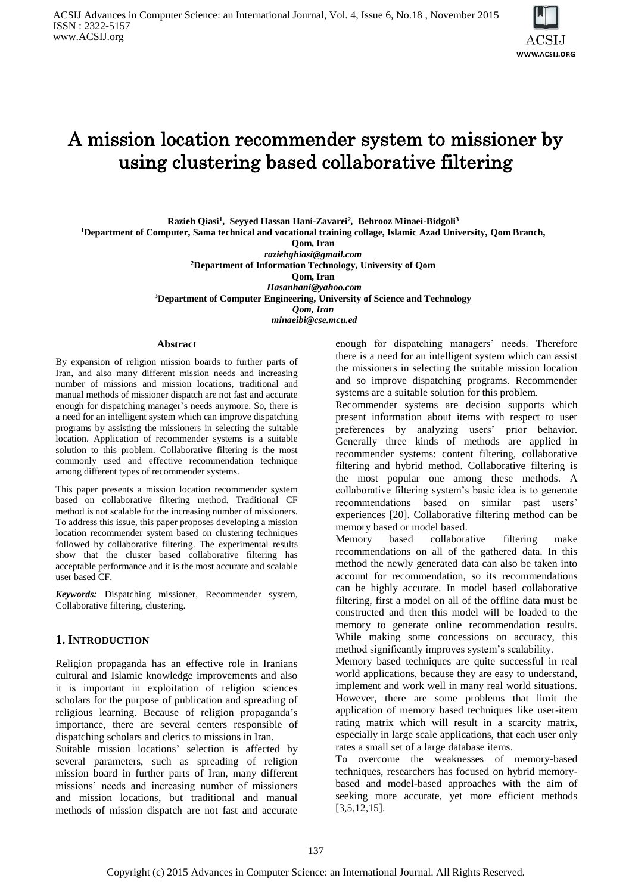

# A mission location recommender system to missioner by using clustering based collaborative filtering

**Razieh Qiasi<sup>1</sup> , Seyyed Hassan Hani-Zavarei<sup>2</sup>** *,* **Behrooz Minaei-Bidgoli<sup>3</sup> <sup>1</sup>Department of Computer, Sama technical and vocational training collage, Islamic Azad University, Qom Branch,**

**Qom, Iran**

*[raziehghiasi@gmail.com](mailto:raziehghiasi@gmail.com)* **<sup>2</sup>Department of Information Technology, University of Qom Qom, Iran** *[Hasanhani@yahoo.com](mailto:Hasanhani@yahoo.com)* **<sup>3</sup>Department of Computer Engineering***,* **University of Science and Technology** *Qom, Iran [minaeibi@cse.mcu.ed](mailto:minaeibi@cse.mcu.ed)* 

## **Abstract**

By expansion of religion mission boards to further parts of Iran, and also many different mission needs and increasing number of missions and mission locations, traditional and manual methods of missioner dispatch are not fast and accurate enough for dispatching manager's needs anymore. So, there is a need for an intelligent system which can improve dispatching programs by assisting the missioners in selecting the suitable location. Application of recommender systems is a suitable solution to this problem. Collaborative filtering is the most commonly used and effective recommendation technique among different types of recommender systems.

This paper presents a mission location recommender system based on collaborative filtering method. Traditional CF method is not scalable for the increasing number of missioners. To address this issue, this paper proposes developing a mission location recommender system based on clustering techniques followed by collaborative filtering. The experimental results show that the cluster based collaborative filtering has acceptable performance and it is the most accurate and scalable user based CF.

*Keywords:* Dispatching missioner, Recommender system, Collaborative filtering, clustering.

# **1. INTRODUCTION**

Religion propaganda has an effective role in Iranians cultural and Islamic knowledge improvements and also it is important in exploitation of religion sciences scholars for the purpose of publication and spreading of religious learning. Because of religion propaganda's importance, there are several centers responsible of dispatching scholars and clerics to missions in Iran.

Suitable mission locations' selection is affected by several parameters, such as spreading of religion mission board in further parts of Iran, many different missions' needs and increasing number of missioners and mission locations, but traditional and manual methods of mission dispatch are not fast and accurate

enough for dispatching managers' needs. Therefore there is a need for an intelligent system which can assist the missioners in selecting the suitable mission location and so improve dispatching programs. Recommender systems are a suitable solution for this problem.

Recommender systems are decision supports which present information about items with respect to user preferences by analyzing users' prior behavior. Generally three kinds of methods are applied in recommender systems: content filtering, collaborative filtering and hybrid method. Collaborative filtering is the most popular one among these methods. A collaborative filtering system's basic idea is to generate recommendations based on similar past users' experiences [20]. Collaborative filtering method can be memory based or model based.

Memory based collaborative filtering make recommendations on all of the gathered data. In this method the newly generated data can also be taken into account for recommendation, so its recommendations can be highly accurate. In model based collaborative filtering, first a model on all of the offline data must be constructed and then this model will be loaded to the memory to generate online recommendation results. While making some concessions on accuracy, this method significantly improves system's scalability.

Memory based techniques are quite successful in real world applications, because they are easy to understand, implement and work well in many real world situations. However, there are some problems that limit the application of memory based techniques like user-item rating matrix which will result in a scarcity matrix, especially in large scale applications, that each user only rates a small set of a large database items.

To overcome the weaknesses of memory-based techniques, researchers has focused on hybrid memorybased and model-based approaches with the aim of seeking more accurate, yet more efficient methods [3,5,12,15].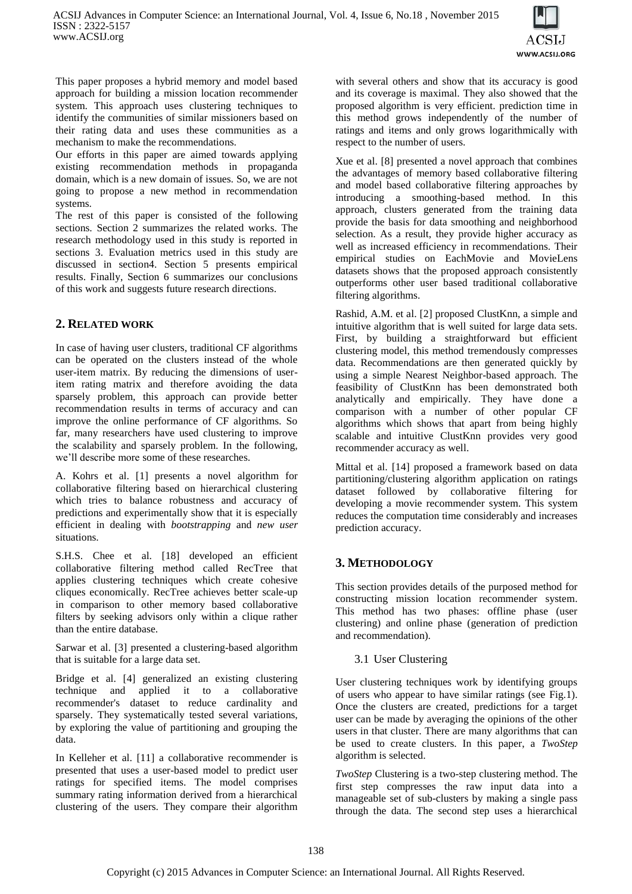

This paper proposes a hybrid memory and model based approach for building a mission location recommender system. This approach uses clustering techniques to identify the communities of similar missioners based on their rating data and uses these communities as a mechanism to make the recommendations.

Our efforts in this paper are aimed towards applying existing recommendation methods in propaganda domain, which is a new domain of issues. So, we are not going to propose a new method in recommendation systems.

The rest of this paper is consisted of the following sections. Section 2 summarizes the related works. The research methodology used in this study is reported in sections 3. Evaluation metrics used in this study are discussed in section4. Section 5 presents empirical results. Finally, Section 6 summarizes our conclusions of this work and suggests future research directions.

# **2. RELATED WORK**

In case of having user clusters, traditional CF algorithms can be operated on the clusters instead of the whole user-item matrix. By reducing the dimensions of useritem rating matrix and therefore avoiding the data sparsely problem, this approach can provide better recommendation results in terms of accuracy and can improve the online performance of CF algorithms. So far, many researchers have used clustering to improve the scalability and sparsely problem. In the following, we'll describe more some of these researches.

A. Kohrs et al. [1] presents a novel algorithm for collaborative filtering based on hierarchical clustering which tries to balance robustness and accuracy of predictions and experimentally show that it is especially efficient in dealing with *bootstrapping* and *new user* situations.

S.H.S. Chee et al. [18] developed an efficient collaborative filtering method called RecTree that applies clustering techniques which create cohesive cliques economically. RecTree achieves better scale-up in comparison to other memory based collaborative filters by seeking advisors only within a clique rather than the entire database.

Sarwar et al. [3] presented a clustering-based algorithm that is suitable for a large data set.

Bridge et al. [4] generalized an existing clustering technique and applied it to a collaborative recommender's dataset to reduce cardinality and sparsely. They systematically tested several variations, by exploring the value of partitioning and grouping the data.

In Kelleher et al. [11] a collaborative recommender is presented that uses a user-based model to predict user ratings for specified items. The model comprises summary rating information derived from a hierarchical clustering of the users. They compare their algorithm with several others and show that its accuracy is good and its coverage is maximal. They also showed that the proposed algorithm is very efficient. prediction time in this method grows independently of the number of ratings and items and only grows logarithmically with respect to the number of users.

Xue et al. [8] presented a novel approach that combines the advantages of memory based collaborative filtering and model based collaborative filtering approaches by introducing a smoothing-based method. In this approach, clusters generated from the training data provide the basis for data smoothing and neighborhood selection. As a result, they provide higher accuracy as well as increased efficiency in recommendations. Their empirical studies on EachMovie and MovieLens datasets shows that the proposed approach consistently outperforms other user based traditional collaborative filtering algorithms.

Rashid, A.M. et al. [2] proposed ClustKnn, a simple and intuitive algorithm that is well suited for large data sets. First, by building a straightforward but efficient clustering model, this method tremendously compresses data. Recommendations are then generated quickly by using a simple Nearest Neighbor-based approach. The feasibility of ClustKnn has been demonstrated both analytically and empirically. They have done a comparison with a number of other popular CF algorithms which shows that apart from being highly scalable and intuitive ClustKnn provides very good recommender accuracy as well.

Mittal et al. [14] proposed a framework based on data partitioning/clustering algorithm application on ratings dataset followed by collaborative filtering for developing a movie recommender system. This system reduces the computation time considerably and increases prediction accuracy.

# **3. METHODOLOGY**

This section provides details of the purposed method for constructing mission location recommender system. This method has two phases: offline phase (user clustering) and online phase (generation of prediction and recommendation).

# 3.1 User Clustering

User clustering techniques work by identifying groups of users who appear to have similar ratings (see Fig.1). Once the clusters are created, predictions for a target user can be made by averaging the opinions of the other users in that cluster. There are many algorithms that can be used to create clusters. In this paper, a *TwoStep* algorithm is selected.

*TwoStep* Clustering is a two-step clustering method. The first step compresses the raw input data into a manageable set of sub-clusters by making a single pass through the data. The second step uses a hierarchical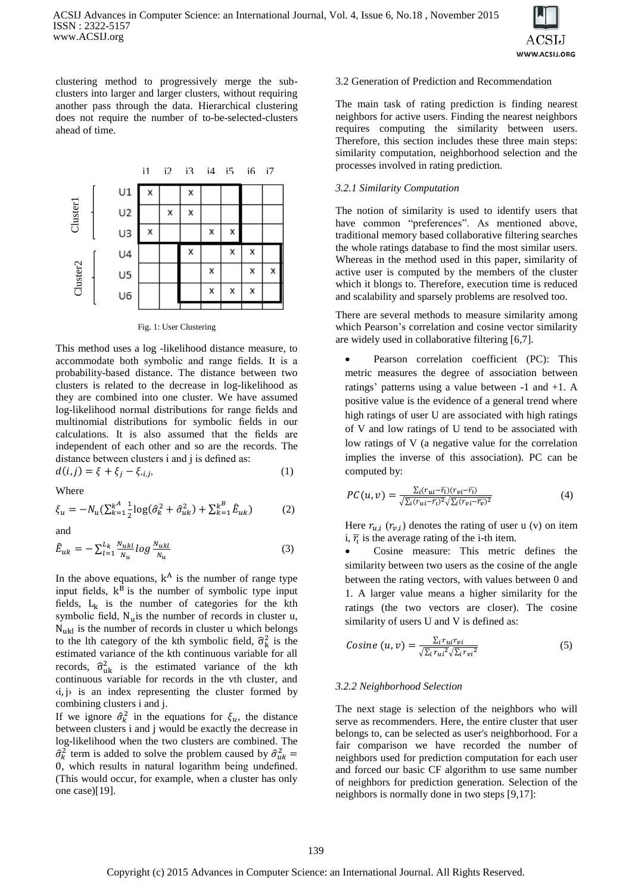

clustering method to progressively merge the subclusters into larger and larger clusters, without requiring another pass through the data. Hierarchical clustering does not require the number of to-be-selected-clusters ahead of time.



Fig. 1: User Clustering

This method uses a log -likelihood distance measure, to accommodate both symbolic and range fields. It is a probability-based distance. The distance between two clusters is related to the decrease in log-likelihood as they are combined into one cluster. We have assumed log-likelihood normal distributions for range fields and multinomial distributions for symbolic fields in our calculations. It is also assumed that the fields are independent of each other and so are the records. The distance between clusters i and j is defined as:

$$
d(i,j) = \xi + \xi_j - \xi_{i,j},\tag{1}
$$

Where

$$
\xi_u = -N_u \left( \sum_{k=1}^{k} \frac{1}{2} \log(\hat{\sigma}_k^2 + \hat{\sigma}_{uk}^2) + \sum_{k=1}^{k} \hat{E}_{uk} \right) \tag{2}
$$

and

$$
\hat{E}_{uk} = -\sum_{l=1}^{L_k} \frac{N_{ukl}}{N_u} \log \frac{N_{ukl}}{N_u} \tag{3}
$$

In the above equations,  $k^A$  is the number of range type input fields,  $k^B$  is the number of symbolic type input fields,  $L_k$  is the number of categories for the kth symbolic field,  $N_{\rm u}$  is the number of records in cluster u,  $N<sub>ukl</sub>$  is the number of records in cluster u which belongs to the lth category of the kth symbolic field,  $\hat{\sigma}_{k}^{2}$  is the estimated variance of the kth continuous variable for all records,  $\hat{\sigma}_{uk}^2$  is the estimated variance of the kth continuous variable for records in the vth cluster, and  $\langle i, j \rangle$  is an index representing the cluster formed by combining clusters i and j.

If we ignore  $\hat{\sigma}_k^2$  in the equations for  $\xi_u$ , the distance between clusters i and j would be exactly the decrease in log-likelihood when the two clusters are combined. The  $\hat{\sigma}_k^2$  term is added to solve the problem caused by  $\hat{\sigma}_{uk}^2$  = 0, which results in natural logarithm being undefined. (This would occur, for example, when a cluster has only one case)[19].

#### 3.2 Generation of Prediction and Recommendation

The main task of rating prediction is finding nearest neighbors for active users. Finding the nearest neighbors requires computing the similarity between users. Therefore, this section includes these three main steps: similarity computation, neighborhood selection and the processes involved in rating prediction.

## *3.2.1 Similarity Computation*

The notion of similarity is used to identify users that have common "preferences". As mentioned above, traditional memory based collaborative filtering searches the whole ratings database to find the most similar users. Whereas in the method used in this paper, similarity of active user is computed by the members of the cluster which it blongs to. Therefore, execution time is reduced and scalability and sparsely problems are resolved too.

There are several methods to measure similarity among which Pearson's correlation and cosine vector similarity are widely used in collaborative filtering [6,7].

• Pearson correlation coefficient (PC): This metric measures the degree of association between ratings' patterns using a value between -1 and +1. A positive value is the evidence of a general trend where high ratings of user U are associated with high ratings of V and low ratings of U tend to be associated with low ratings of V (a negative value for the correlation implies the inverse of this association). PC can be computed by:

$$
PC(u,v) = \frac{\sum_i (r_{ui} - \overline{r_i})(r_{vi} - \overline{r_i})}{\sqrt{\sum_i (r_{ui} - \overline{r_i})^2} \sqrt{\sum_i (r_{vi} - \overline{r_v})^2}}
$$
(4)

Here  $r_{u,i}$  ( $r_{v,i}$ ) denotes the rating of user u (v) on item i,  $\overline{r}_i$  is the average rating of the i-th item.

 Cosine measure: This metric defines the similarity between two users as the cosine of the angle between the rating vectors, with values between 0 and 1. A larger value means a higher similarity for the ratings (the two vectors are closer). The cosine similarity of users U and V is defined as:

$$
Cosine(u, v) = \frac{\sum_{i} r_{ui} r_{vi}}{\sqrt{\sum_{i} r_{ui}^{2}} \sqrt{\sum_{i} r_{vi}^{2}}}
$$
(5)

#### *3.2.2 Neighborhood Selection*

The next stage is selection of the neighbors who will serve as recommenders. Here, the entire cluster that user belongs to, can be selected as user's neighborhood. For a fair comparison we have recorded the number of neighbors used for prediction computation for each user and forced our basic CF algorithm to use same number of neighbors for prediction generation. Selection of the neighbors is normally done in two steps [9,17]: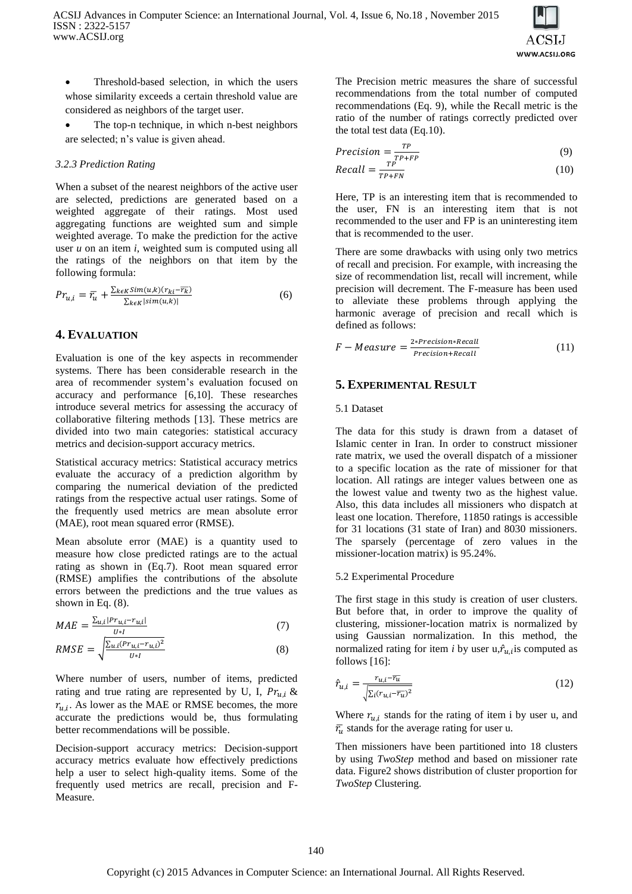

 Threshold-based selection, in which the users whose similarity exceeds a certain threshold value are considered as neighbors of the target user.

 The top-n technique, in which n-best neighbors are selected; n's value is given ahead.

## *3.2.3 Prediction Rating*

When a subset of the nearest neighbors of the active user are selected, predictions are generated based on a weighted aggregate of their ratings. Most used aggregating functions are weighted sum and simple weighted average. To make the prediction for the active user *u* on an item *i*, weighted sum is computed using all the ratings of the neighbors on that item by the following formula:

$$
Pr_{u,i} = \overline{r_u} + \frac{\sum_{k \in K} Sim(u,k)(r_{ki} - \overline{r_k})}{\sum_{k \in K} |\text{sim}(u,k)|}
$$
(6)

# **4. EVALUATION**

Evaluation is one of the key aspects in recommender systems. There has been considerable research in the area of recommender system's evaluation focused on accuracy and performance [6,10]. These researches introduce several metrics for assessing the accuracy of collaborative filtering methods [13]. These metrics are divided into two main categories: statistical accuracy metrics and decision-support accuracy metrics.

Statistical accuracy metrics: Statistical accuracy metrics evaluate the accuracy of a prediction algorithm by comparing the numerical deviation of the predicted ratings from the respective actual user ratings. Some of the frequently used metrics are mean absolute error (MAE), root mean squared error (RMSE).

Mean absolute error (MAE) is a quantity used to measure how close predicted ratings are to the actual rating as shown in (Eq.7). Root mean squared error (RMSE) amplifies the contributions of the absolute errors between the predictions and the true values as shown in Eq. (8).

$$
MAE = \frac{\sum_{u,i} |P r_{u,i} - r_{u,i}|}{H \cdot L} \tag{7}
$$

$$
RMSE = \sqrt{\frac{\sum_{u,i}(Pr_{u,i} - r_{u,i})^2}{U * I}}
$$
(8)

Where number of users, number of items, predicted rating and true rating are represented by U, I,  $Pr_{u,i}$  &  $r_{u,i}$ . As lower as the MAE or RMSE becomes, the more accurate the predictions would be, thus formulating better recommendations will be possible.

Decision-support accuracy metrics: Decision-support accuracy metrics evaluate how effectively predictions help a user to select high-quality items. Some of the frequently used metrics are recall, precision and F-Measure.

The Precision metric measures the share of successful recommendations from the total number of computed recommendations (Eq. 9), while the Recall metric is the ratio of the number of ratings correctly predicted over the total test data (Eq.10).

$$
Precision = \frac{TP}{TP + FP}
$$
 (9)

$$
Recall = \frac{TP}{TP + FN} \tag{10}
$$

Here, TP is an interesting item that is recommended to the user, FN is an interesting item that is not recommended to the user and FP is an uninteresting item that is recommended to the user.

There are some drawbacks with using only two metrics of recall and precision. For example, with increasing the size of recommendation list, recall will increment, while precision will decrement. The F-measure has been used to alleviate these problems through applying the harmonic average of precision and recall which is defined as follows:

$$
F-Measure = \frac{2*Precision*Recall}{Precision+Recall}
$$
 (11)

# **5. EXPERIMENTAL RESULT**

## 5.1 Dataset

The data for this study is drawn from a dataset of Islamic center in Iran. In order to construct missioner rate matrix, we used the overall dispatch of a missioner to a specific location as the rate of missioner for that location. All ratings are integer values between one as the lowest value and twenty two as the highest value. Also, this data includes all missioners who dispatch at least one location. Therefore, 11850 ratings is accessible for 31 locations (31 state of Iran) and 8030 missioners. The sparsely (percentage of zero values in the missioner-location matrix) is 95.24%.

## 5.2 Experimental Procedure

The first stage in this study is creation of user clusters. But before that, in order to improve the quality of clustering, missioner-location matrix is normalized by using Gaussian normalization. In this method, the normalized rating for item *i* by user  $u, \hat{r}_{u,i}$  is computed as follows [16]:

$$
\hat{r}_{u,i} = \frac{r_{u,i} - \overline{r_u}}{\sqrt{\sum_i (r_{u,i} - \overline{r_u})^2}}\tag{12}
$$

Where  $r_{u,i}$  stands for the rating of item i by user u, and  $\bar{r}_u$  stands for the average rating for user u.

Then missioners have been partitioned into 18 clusters by using *TwoStep* method and based on missioner rate data. Figure2 shows distribution of cluster proportion for *TwoStep* Clustering.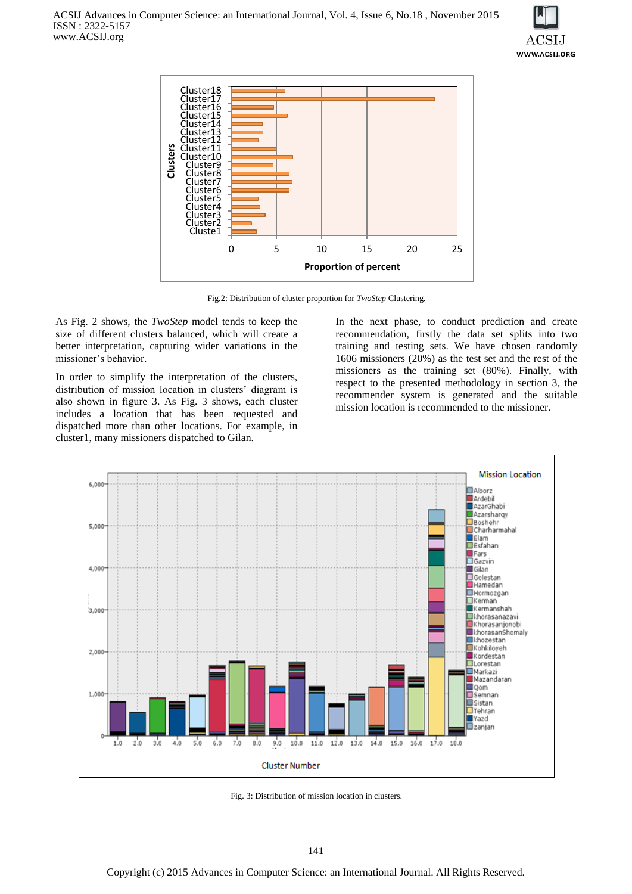



Fig.2: Distribution of cluster proportion for *TwoStep* Clustering.

As Fig. 2 shows, the *TwoStep* model tends to keep the size of different clusters balanced, which will create a better interpretation, capturing wider variations in the missioner's behavior.

In order to simplify the interpretation of the clusters, distribution of mission location in clusters' diagram is also shown in figure 3. As Fig. 3 shows, each cluster includes a location that has been requested and dispatched more than other locations. For example, in cluster1, many missioners dispatched to Gilan.

In the next phase, to conduct prediction and create recommendation, firstly the data set splits into two training and testing sets. We have chosen randomly 1606 missioners (20%) as the test set and the rest of the missioners as the training set (80%). Finally, with respect to the presented methodology in section 3, the recommender system is generated and the suitable mission location is recommended to the missioner.



Fig. 3: Distribution of mission location in clusters.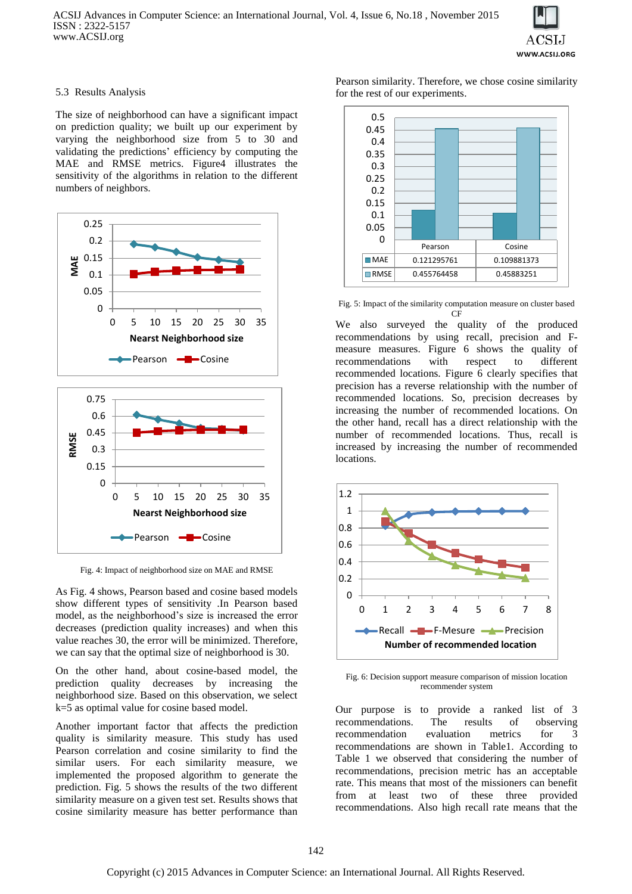

#### 5.3 Results Analysis

The size of neighborhood can have a significant impact on prediction quality; we built up our experiment by varying the neighborhood size from 5 to 30 and validating the predictions' efficiency by computing the MAE and RMSE metrics. Figure4 illustrates the sensitivity of the algorithms in relation to the different numbers of neighbors.



Fig. 4: Impact of neighborhood size on MAE and RMSE

As Fig. 4 shows, Pearson based and cosine based models show different types of sensitivity .In Pearson based model, as the neighborhood's size is increased the error decreases (prediction quality increases) and when this value reaches 30, the error will be minimized. Therefore, we can say that the optimal size of neighborhood is 30.

On the other hand, about cosine-based model, the prediction quality decreases by increasing the neighborhood size. Based on this observation, we select k=5 as optimal value for cosine based model.

Another important factor that affects the prediction quality is similarity measure. This study has used Pearson correlation and cosine similarity to find the similar users. For each similarity measure, we implemented the proposed algorithm to generate the prediction. Fig. 5 shows the results of the two different similarity measure on a given test set. Results shows that cosine similarity measure has better performance than

Pearson similarity. Therefore, we chose cosine similarity for the rest of our experiments.



Fig. 5: Impact of the similarity computation measure on cluster based CF

We also surveyed the quality of the produced recommendations by using recall, precision and Fmeasure measures. Figure 6 shows the quality of recommendations with respect to different recommended locations. Figure 6 clearly specifies that precision has a reverse relationship with the number of recommended locations. So, precision decreases by increasing the number of recommended locations. On the other hand, recall has a direct relationship with the number of recommended locations. Thus, recall is increased by increasing the number of recommended locations.



Fig. 6: Decision support measure comparison of mission location recommender system

Our purpose is to provide a ranked list of 3 recommendations. The results of observing recommendation evaluation metrics for 3 recommendations are shown in Table1. According to Table 1 we observed that considering the number of recommendations, precision metric has an acceptable rate. This means that most of the missioners can benefit from at least two of these three provided recommendations. Also high recall rate means that the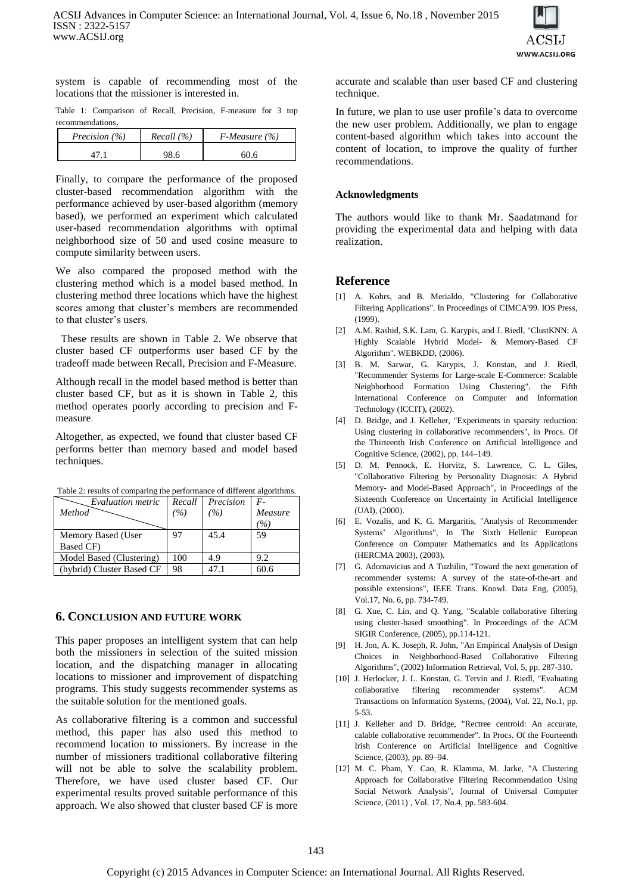

system is capable of recommending most of the locations that the missioner is interested in.

Table 1: Comparison of Recall, Precision, F-measure for 3 top recommendations.

| Precision (%) | Recall (%) | $F$ -Measure (%) |  |
|---------------|------------|------------------|--|
|               | 98.6       | <b>50.6</b>      |  |

Finally, to compare the performance of the proposed cluster-based recommendation algorithm with the performance achieved by user-based algorithm (memory based), we performed an experiment which calculated user-based recommendation algorithms with optimal neighborhood size of 50 and used cosine measure to compute similarity between users.

We also compared the proposed method with the clustering method which is a model based method. In clustering method three locations which have the highest scores among that cluster's members are recommended to that cluster's users.

 These results are shown in Table 2. We observe that cluster based CF outperforms user based CF by the tradeoff made between Recall, Precision and F-Measure.

Although recall in the model based method is better than cluster based CF, but as it is shown in Table 2, this method operates poorly according to precision and Fmeasure.

Altogether, as expected, we found that cluster based CF performs better than memory based and model based techniques.

| Evaluation metric<br>Method | Recall<br>(%) | Precision<br>(%) | $F -$<br>Measure<br>$\%$ |
|-----------------------------|---------------|------------------|--------------------------|
| Memory Based (User          |               | 45.4             | 59                       |
| Based CF)                   |               |                  |                          |
| Model Based (Clustering)    | 100           | 4.9              | 9.2                      |
| (hybrid) Cluster Based CF   | 98            | 47 1             |                          |

Table 2: results of comparing the performance of different algorithms.

## **6. CONCLUSION AND FUTURE WORK**

This paper proposes an intelligent system that can help both the missioners in selection of the suited mission location, and the dispatching manager in allocating locations to missioner and improvement of dispatching programs. This study suggests recommender systems as the suitable solution for the mentioned goals.

As collaborative filtering is a common and successful method, this paper has also used this method to recommend location to missioners. By increase in the number of missioners traditional collaborative filtering will not be able to solve the scalability problem. Therefore, we have used cluster based CF. Our experimental results proved suitable performance of this approach. We also showed that cluster based CF is more

accurate and scalable than user based CF and clustering technique.

In future, we plan to use user profile's data to overcome the new user problem. Additionally, we plan to engage content-based algorithm which takes into account the content of location, to improve the quality of further recommendations.

## **Acknowledgments**

The authors would like to thank Mr. Saadatmand for providing the experimental data and helping with data realization.

# **Reference**

- [1] A. Kohrs, and B. Merialdo, "Clustering for Collaborative Filtering Applications". In Proceedings of CIMCA'99. IOS Press*,*  (1999).
- [2] A.M. Rashid, S.K. Lam, G. Karypis, and J. Riedl, "ClustKNN: A Highly Scalable Hybrid Model- & Memory-Based CF Algorithm". WEBKDD, (2006).
- [3] B. M. Sarwar, G. Karypis, J. Konstan, and J. Riedl, "Recommender Systems for Large-scale E-Commerce: Scalable Neighborhood Formation Using Clustering", the Fifth International Conference on Computer and Information Technology (ICCIT), (2002).
- [4] D. Bridge, and J. Kelleher, "Experiments in sparsity reduction: Using clustering in collaborative recommenders", in Procs. Of the Thirteenth Irish Conference on Artificial Intelligence and Cognitive Science, (2002), pp. 144–149.
- [5] D. M. Pennock, E. Horvitz, S. Lawrence, C. L. Giles, "Collaborative Filtering by Personality Diagnosis: A Hybrid Memory- and Model-Based Approach", in Proceedings of the Sixteenth Conference on Uncertainty in Artificial Intelligence (UAI), (2000).
- [6] E. Vozalis, and K. G. Margaritis, "Analysis of Recommender Systems' Algorithms", In The Sixth Hellenic European Conference on Computer Mathematics and its Applications (HERCMA 2003), (2003).
- [7] G. Adomavicius and A Tuzhilin, "Toward the next generation of recommender systems: A survey of the state-of-the-art and possible extensions", IEEE Trans. Knowl. Data Eng, (2005), Vol.17, No. 6, pp. 734-749.
- [8] G. Xue, C. Lin, and Q. Yang, "Scalable collaborative filtering using cluster-based smoothing". In Proceedings of the ACM SIGIR Conference, (2005), pp.114-121.
- [9] H. Jon, A. K. Joseph, R. John, "An Empirical Analysis of Design Choices in Neighborhood-Based Collaborative Filtering Algorithms", (2002) Information Retrieval*,* Vol. 5, pp. 287-310.
- [10] J. Herlocker, J. L. Konstan, G. Tervin and J. Riedl, "Evaluating collaborative filtering recommender systems". ACM Transactions on Information Systems, (2004), Vol. 22, No.1, pp. 5-53.
- [11] J. Kelleher and D. Bridge, "Rectree centroid: An accurate, calable collaborative recommender". In Procs. Of the Fourteenth Irish Conference on Artificial Intelligence and Cognitive Science, (2003), pp. 89–94.
- [12] M. C. Pham, Y. Cao, R. Klamma, M. Jarke, "A Clustering Approach for Collaborative Filtering Recommendation Using Social Network Analysis", Journal of Universal Computer Science, (2011) , Vol. 17, No.4, pp. 583-604.